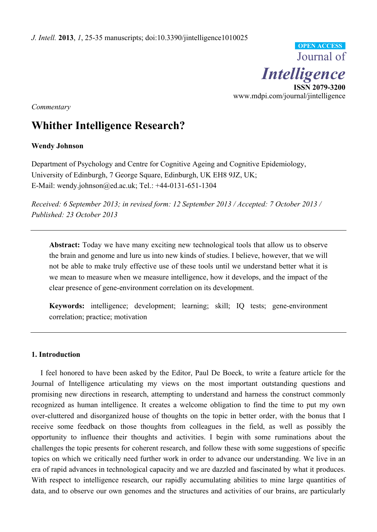

*Commentary*

# **Whither Intelligence Research?**

# **Wendy Johnson**

Department of Psychology and Centre for Cognitive Ageing and Cognitive Epidemiology, University of Edinburgh, 7 George Square, Edinburgh, UK EH8 9JZ, UK; E-Mail: wendy.johnson@ed.ac.uk; Tel.: +44-0131-651-1304

*Received: 6 September 2013; in revised form: 12 September 2013 / Accepted: 7 October 2013 / Published: 23 October 2013*

**Abstract:** Today we have many exciting new technological tools that allow us to observe the brain and genome and lure us into new kinds of studies. I believe, however, that we will not be able to make truly effective use of these tools until we understand better what it is we mean to measure when we measure intelligence, how it develops, and the impact of the clear presence of gene-environment correlation on its development.

**Keywords:** intelligence; development; learning; skill; IQ tests; gene-environment correlation; practice; motivation

# **1. Introduction**

I feel honored to have been asked by the Editor, Paul De Boeck, to write a feature article for the Journal of Intelligence articulating my views on the most important outstanding questions and promising new directions in research, attempting to understand and harness the construct commonly recognized as human intelligence. It creates a welcome obligation to find the time to put my own over-cluttered and disorganized house of thoughts on the topic in better order, with the bonus that I receive some feedback on those thoughts from colleagues in the field, as well as possibly the opportunity to influence their thoughts and activities. I begin with some ruminations about the challenges the topic presents for coherent research, and follow these with some suggestions of specific topics on which we critically need further work in order to advance our understanding. We live in an era of rapid advances in technological capacity and we are dazzled and fascinated by what it produces. With respect to intelligence research, our rapidly accumulating abilities to mine large quantities of data, and to observe our own genomes and the structures and activities of our brains, are particularly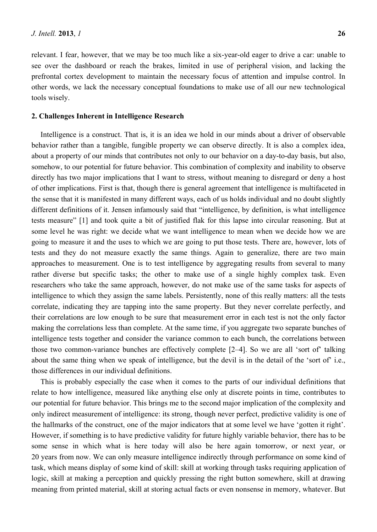relevant. I fear, however, that we may be too much like a six-year-old eager to drive a car: unable to see over the dashboard or reach the brakes, limited in use of peripheral vision, and lacking the prefrontal cortex development to maintain the necessary focus of attention and impulse control. In other words, we lack the necessary conceptual foundations to make use of all our new technological tools wisely.

## **2. Challenges Inherent in Intelligence Research**

Intelligence is a construct. That is, it is an idea we hold in our minds about a driver of observable behavior rather than a tangible, fungible property we can observe directly. It is also a complex idea, about a property of our minds that contributes not only to our behavior on a day-to-day basis, but also, somehow, to our potential for future behavior. This combination of complexity and inability to observe directly has two major implications that I want to stress, without meaning to disregard or deny a host of other implications. First is that, though there is general agreement that intelligence is multifaceted in the sense that it is manifested in many different ways, each of us holds individual and no doubt slightly different definitions of it. Jensen infamously said that "intelligence, by definition, is what intelligence tests measure" [1] and took quite a bit of justified flak for this lapse into circular reasoning. But at some level he was right: we decide what we want intelligence to mean when we decide how we are going to measure it and the uses to which we are going to put those tests. There are, however, lots of tests and they do not measure exactly the same things. Again to generalize, there are two main approaches to measurement. One is to test intelligence by aggregating results from several to many rather diverse but specific tasks; the other to make use of a single highly complex task. Even researchers who take the same approach, however, do not make use of the same tasks for aspects of intelligence to which they assign the same labels. Persistently, none of this really matters: all the tests correlate, indicating they are tapping into the same property. But they never correlate perfectly, and their correlations are low enough to be sure that measurement error in each test is not the only factor making the correlations less than complete. At the same time, if you aggregate two separate bunches of intelligence tests together and consider the variance common to each bunch, the correlations between those two common-variance bunches are effectively complete [2–4]. So we are all 'sort of' talking about the same thing when we speak of intelligence, but the devil is in the detail of the 'sort of' i.e., those differences in our individual definitions.

This is probably especially the case when it comes to the parts of our individual definitions that relate to how intelligence, measured like anything else only at discrete points in time, contributes to our potential for future behavior. This brings me to the second major implication of the complexity and only indirect measurement of intelligence: its strong, though never perfect, predictive validity is one of the hallmarks of the construct, one of the major indicators that at some level we have 'gotten it right'. However, if something is to have predictive validity for future highly variable behavior, there has to be some sense in which what is here today will also be here again tomorrow, or next year, or 20 years from now. We can only measure intelligence indirectly through performance on some kind of task, which means display of some kind of skill: skill at working through tasks requiring application of logic, skill at making a perception and quickly pressing the right button somewhere, skill at drawing meaning from printed material, skill at storing actual facts or even nonsense in memory, whatever. But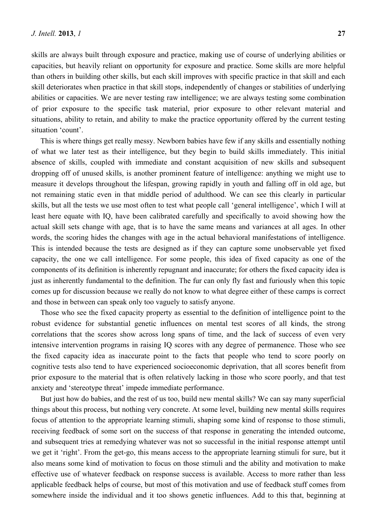skills are always built through exposure and practice, making use of course of underlying abilities or capacities, but heavily reliant on opportunity for exposure and practice. Some skills are more helpful than others in building other skills, but each skill improves with specific practice in that skill and each skill deteriorates when practice in that skill stops, independently of changes or stabilities of underlying abilities or capacities. We are never testing raw intelligence; we are always testing some combination of prior exposure to the specific task material, prior exposure to other relevant material and situations, ability to retain, and ability to make the practice opportunity offered by the current testing situation 'count'.

This is where things get really messy. Newborn babies have few if any skills and essentially nothing of what we later test as their intelligence, but they begin to build skills immediately. This initial absence of skills, coupled with immediate and constant acquisition of new skills and subsequent dropping off of unused skills, is another prominent feature of intelligence: anything we might use to measure it develops throughout the lifespan, growing rapidly in youth and falling off in old age, but not remaining static even in that middle period of adulthood. We can see this clearly in particular skills, but all the tests we use most often to test what people call 'general intelligence', which I will at least here equate with IQ, have been calibrated carefully and specifically to avoid showing how the actual skill sets change with age, that is to have the same means and variances at all ages. In other words, the scoring hides the changes with age in the actual behavioral manifestations of intelligence. This is intended because the tests are designed as if they can capture some unobservable yet fixed capacity, the one we call intelligence. For some people, this idea of fixed capacity as one of the components of its definition is inherently repugnant and inaccurate; for others the fixed capacity idea is just as inherently fundamental to the definition. The fur can only fly fast and furiously when this topic comes up for discussion because we really do not know to what degree either of these camps is correct and those in between can speak only too vaguely to satisfy anyone.

Those who see the fixed capacity property as essential to the definition of intelligence point to the robust evidence for substantial genetic influences on mental test scores of all kinds, the strong correlations that the scores show across long spans of time, and the lack of success of even very intensive intervention programs in raising IQ scores with any degree of permanence. Those who see the fixed capacity idea as inaccurate point to the facts that people who tend to score poorly on cognitive tests also tend to have experienced socioeconomic deprivation, that all scores benefit from prior exposure to the material that is often relatively lacking in those who score poorly, and that test anxiety and 'stereotype threat' impede immediate performance.

But just how do babies, and the rest of us too, build new mental skills? We can say many superficial things about this process, but nothing very concrete. At some level, building new mental skills requires focus of attention to the appropriate learning stimuli, shaping some kind of response to those stimuli, receiving feedback of some sort on the success of that response in generating the intended outcome, and subsequent tries at remedying whatever was not so successful in the initial response attempt until we get it 'right'. From the get-go, this means access to the appropriate learning stimuli for sure, but it also means some kind of motivation to focus on those stimuli and the ability and motivation to make effective use of whatever feedback on response success is available. Access to more rather than less applicable feedback helps of course, but most of this motivation and use of feedback stuff comes from somewhere inside the individual and it too shows genetic influences. Add to this that, beginning at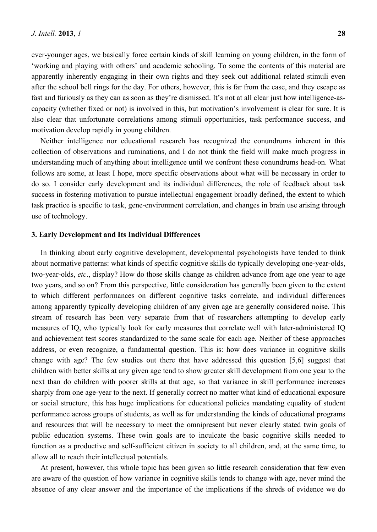ever-younger ages, we basically force certain kinds of skill learning on young children, in the form of 'working and playing with others' and academic schooling. To some the contents of this material are apparently inherently engaging in their own rights and they seek out additional related stimuli even after the school bell rings for the day. For others, however, this is far from the case, and they escape as fast and furiously as they can as soon as they're dismissed. It's not at all clear just how intelligence-ascapacity (whether fixed or not) is involved in this, but motivation's involvement is clear for sure. It is also clear that unfortunate correlations among stimuli opportunities, task performance success, and motivation develop rapidly in young children.

Neither intelligence nor educational research has recognized the conundrums inherent in this collection of observations and ruminations, and I do not think the field will make much progress in understanding much of anything about intelligence until we confront these conundrums head-on. What follows are some, at least I hope, more specific observations about what will be necessary in order to do so. I consider early development and its individual differences, the role of feedback about task success in fostering motivation to pursue intellectual engagement broadly defined, the extent to which task practice is specific to task, gene-environment correlation, and changes in brain use arising through use of technology.

## **3. Early Development and Its Individual Differences**

In thinking about early cognitive development, developmental psychologists have tended to think about normative patterns: what kinds of specific cognitive skills do typically developing one-year-olds, two-year-olds, *etc*., display? How do those skills change as children advance from age one year to age two years, and so on? From this perspective, little consideration has generally been given to the extent to which different performances on different cognitive tasks correlate, and individual differences among apparently typically developing children of any given age are generally considered noise. This stream of research has been very separate from that of researchers attempting to develop early measures of IQ, who typically look for early measures that correlate well with later-administered IQ and achievement test scores standardized to the same scale for each age. Neither of these approaches address, or even recognize, a fundamental question. This is: how does variance in cognitive skills change with age? The few studies out there that have addressed this question [5,6] suggest that children with better skills at any given age tend to show greater skill development from one year to the next than do children with poorer skills at that age, so that variance in skill performance increases sharply from one age-year to the next. If generally correct no matter what kind of educational exposure or social structure, this has huge implications for educational policies mandating equality of student performance across groups of students, as well as for understanding the kinds of educational programs and resources that will be necessary to meet the omnipresent but never clearly stated twin goals of public education systems. These twin goals are to inculcate the basic cognitive skills needed to function as a productive and self-sufficient citizen in society to all children, and, at the same time, to allow all to reach their intellectual potentials.

At present, however, this whole topic has been given so little research consideration that few even are aware of the question of how variance in cognitive skills tends to change with age, never mind the absence of any clear answer and the importance of the implications if the shreds of evidence we do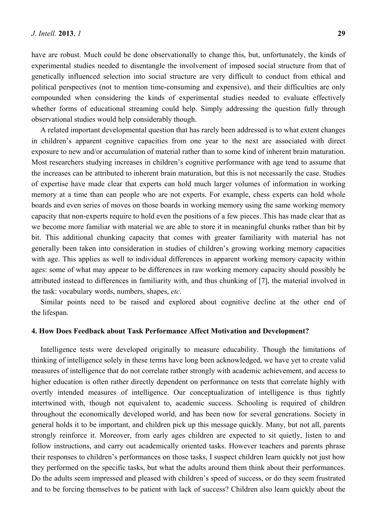have are robust. Much could be done observationally to change this, but, unfortunately, the kinds of experimental studies needed to disentangle the involvement of imposed social structure from that of genetically influenced selection into social structure are very difficult to conduct from ethical and political perspectives (not to mention time-consuming and expensive), and their difficulties are only compounded when considering the kinds of experimental studies needed to evaluate effectively whether forms of educational streaming could help. Simply addressing the question fully through observational studies would help considerably though.

A related important developmental question that has rarely been addressed is to what extent changes in children's apparent cognitive capacities from one year to the next are associated with direct exposure to new and/or accumulation of material rather than to some kind of inherent brain maturation. Most researchers studying increases in children's cognitive performance with age tend to assume that the increases can be attributed to inherent brain maturation, but this is not necessarily the case. Studies of expertise have made clear that experts can hold much larger volumes of information in working memory at a time than can people who are not experts. For example, chess experts can hold whole boards and even series of moves on those boards in working memory using the same working memory capacity that non-experts require to hold even the positions of a few pieces. This has made clear that as we become more familiar with material we are able to store it in meaningful chunks rather than bit by bit. This additional chunking capacity that comes with greater familiarity with material has not generally been taken into consideration in studies of children's growing working memory capacities with age. This applies as well to individual differences in apparent working memory capacity within ages: some of what may appear to be differences in raw working memory capacity should possibly be attributed instead to differences in familiarity with, and thus chunking of [7], the material involved in the task: vocabulary words, numbers, shapes, *etc*.

Similar points need to be raised and explored about cognitive decline at the other end of the lifespan.

## **4. How Does Feedback about Task Performance Affect Motivation and Development?**

Intelligence tests were developed originally to measure educability. Though the limitations of thinking of intelligence solely in these terms have long been acknowledged, we have yet to create valid measures of intelligence that do not correlate rather strongly with academic achievement, and access to higher education is often rather directly dependent on performance on tests that correlate highly with overtly intended measures of intelligence. Our conceptualization of intelligence is thus tightly intertwined with, though not equivalent to, academic success. Schooling is required of children throughout the economically developed world, and has been now for several generations. Society in general holds it to be important, and children pick up this message quickly. Many, but not all, parents strongly reinforce it. Moreover, from early ages children are expected to sit quietly, listen to and follow instructions, and carry out academically oriented tasks. However teachers and parents phrase their responses to children's performances on those tasks, I suspect children learn quickly not just how they performed on the specific tasks, but what the adults around them think about their performances. Do the adults seem impressed and pleased with children's speed of success, or do they seem frustrated and to be forcing themselves to be patient with lack of success? Children also learn quickly about the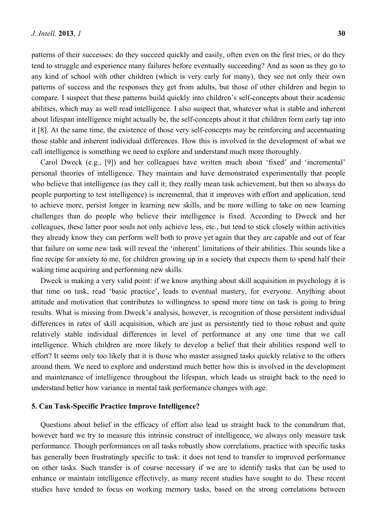patterns of their successes: do they succeed quickly and easily, often even on the first tries, or do they tend to struggle and experience many failures before eventually succeeding? And as soon as they go to any kind of school with other children (which is very early for many), they see not only their own patterns of success and the responses they get from adults, but those of other children and begin to compare. I suspect that these patterns build quickly into children's self-concepts about their academic abilities, which may as well read intelligence. I also suspect that, whatever what is stable and inherent about lifespan intelligence might actually be, the self-concepts about it that children form early tap into it [8]. At the same time, the existence of those very self-concepts may be reinforcing and accentuating those stable and inherent individual differences. How this is involved in the development of what we call intelligence is something we need to explore and understand much more thoroughly.

Carol Dweck (e.g., [9]) and her colleagues have written much about 'fixed' and 'incremental' personal theories of intelligence. They maintain and have demonstrated experimentally that people who believe that intelligence (as they call it; they really mean task achievement, but then so always do people purporting to test intelligence) is incremental, that it improves with effort and application, tend to achieve more, persist longer in learning new skills, and be more willing to take on new learning challenges than do people who believe their intelligence is fixed. According to Dweck and her colleagues, these latter poor souls not only achieve less, etc., but tend to stick closely within activities they already know they can perform well both to prove yet again that they are capable and out of fear that failure on some new task will reveal the 'inherent' limitations of their abilities. This sounds like a fine recipe for anxiety to me, for children growing up in a society that expects them to spend half their waking time acquiring and performing new skills.

Dweck is making a very valid point: if we know anything about skill acquisition in psychology it is that time on task, read 'basic practice', leads to eventual mastery, for everyone. Anything about attitude and motivation that contributes to willingness to spend more time on task is going to bring results. What is missing from Dweck's analysis, however, is recognition of those persistent individual differences in rates of skill acquisition, which are just as persistently tied to those robust and quite relatively stable individual differences in level of performance at any one time that we call intelligence. Which children are more likely to develop a belief that their abilities respond well to effort? It seems only too likely that it is those who master assigned tasks quickly relative to the others around them. We need to explore and understand much better how this is involved in the development and maintenance of intelligence throughout the lifespan, which leads us straight back to the need to understand better how variance in mental task performance changes with age.

#### **5. Can Task-Specific Practice Improve Intelligence?**

Questions about belief in the efficacy of effort also lead us straight back to the conundrum that, however hard we try to measure this intrinsic construct of intelligence, we always only measure task performance. Though performances on all tasks robustly show correlations, practice with specific tasks has generally been frustratingly specific to task: it does not tend to transfer to improved performance on other tasks. Such transfer is of course necessary if we are to identify tasks that can be used to enhance or maintain intelligence effectively, as many recent studies have sought to do. These recent studies have tended to focus on working memory tasks, based on the strong correlations between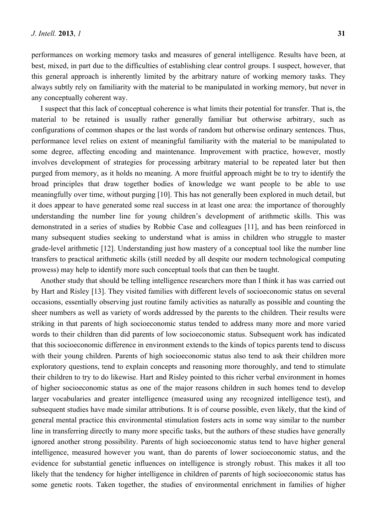performances on working memory tasks and measures of general intelligence. Results have been, at best, mixed, in part due to the difficulties of establishing clear control groups. I suspect, however, that this general approach is inherently limited by the arbitrary nature of working memory tasks. They always subtly rely on familiarity with the material to be manipulated in working memory, but never in any conceptually coherent way.

I suspect that this lack of conceptual coherence is what limits their potential for transfer. That is, the material to be retained is usually rather generally familiar but otherwise arbitrary, such as configurations of common shapes or the last words of random but otherwise ordinary sentences. Thus, performance level relies on extent of meaningful familiarity with the material to be manipulated to some degree, affecting encoding and maintenance. Improvement with practice, however, mostly involves development of strategies for processing arbitrary material to be repeated later but then purged from memory, as it holds no meaning. A more fruitful approach might be to try to identify the broad principles that draw together bodies of knowledge we want people to be able to use meaningfully over time, without purging [10]. This has not generally been explored in much detail, but it does appear to have generated some real success in at least one area: the importance of thoroughly understanding the number line for young children's development of arithmetic skills. This was demonstrated in a series of studies by Robbie Case and colleagues [11], and has been reinforced in many subsequent studies seeking to understand what is amiss in children who struggle to master grade-level arithmetic [12]. Understanding just how mastery of a conceptual tool like the number line transfers to practical arithmetic skills (still needed by all despite our modern technological computing prowess) may help to identify more such conceptual tools that can then be taught.

Another study that should be telling intelligence researchers more than I think it has was carried out by Hart and Risley [13]. They visited families with different levels of socioeconomic status on several occasions, essentially observing just routine family activities as naturally as possible and counting the sheer numbers as well as variety of words addressed by the parents to the children. Their results were striking in that parents of high socioeconomic status tended to address many more and more varied words to their children than did parents of low socioeconomic status. Subsequent work has indicated that this socioeconomic difference in environment extends to the kinds of topics parents tend to discuss with their young children. Parents of high socioeconomic status also tend to ask their children more exploratory questions, tend to explain concepts and reasoning more thoroughly, and tend to stimulate their children to try to do likewise. Hart and Risley pointed to this richer verbal environment in homes of higher socioeconomic status as one of the major reasons children in such homes tend to develop larger vocabularies and greater intelligence (measured using any recognized intelligence test), and subsequent studies have made similar attributions. It is of course possible, even likely, that the kind of general mental practice this environmental stimulation fosters acts in some way similar to the number line in transferring directly to many more specific tasks, but the authors of these studies have generally ignored another strong possibility. Parents of high socioeconomic status tend to have higher general intelligence, measured however you want, than do parents of lower socioeconomic status, and the evidence for substantial genetic influences on intelligence is strongly robust. This makes it all too likely that the tendency for higher intelligence in children of parents of high socioeconomic status has some genetic roots. Taken together, the studies of environmental enrichment in families of higher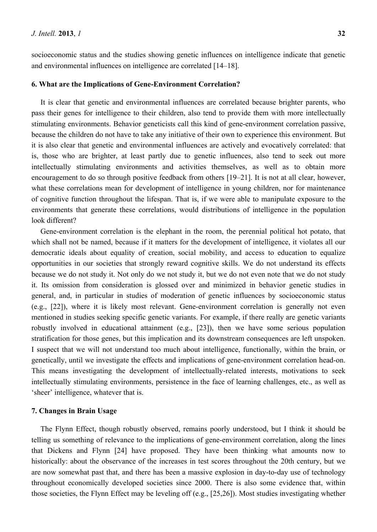socioeconomic status and the studies showing genetic influences on intelligence indicate that genetic and environmental influences on intelligence are correlated [14–18].

#### **6. What are the Implications of Gene-Environment Correlation?**

It is clear that genetic and environmental influences are correlated because brighter parents, who pass their genes for intelligence to their children, also tend to provide them with more intellectually stimulating environments. Behavior geneticists call this kind of gene-environment correlation passive, because the children do not have to take any initiative of their own to experience this environment. But it is also clear that genetic and environmental influences are actively and evocatively correlated: that is, those who are brighter, at least partly due to genetic influences, also tend to seek out more intellectually stimulating environments and activities themselves, as well as to obtain more encouragement to do so through positive feedback from others [19–21]. It is not at all clear, however, what these correlations mean for development of intelligence in young children, nor for maintenance of cognitive function throughout the lifespan. That is, if we were able to manipulate exposure to the environments that generate these correlations, would distributions of intelligence in the population look different?

Gene-environment correlation is the elephant in the room, the perennial political hot potato, that which shall not be named, because if it matters for the development of intelligence, it violates all our democratic ideals about equality of creation, social mobility, and access to education to equalize opportunities in our societies that strongly reward cognitive skills. We do not understand its effects because we do not study it. Not only do we not study it, but we do not even note that we do not study it. Its omission from consideration is glossed over and minimized in behavior genetic studies in general, and, in particular in studies of moderation of genetic influences by socioeconomic status (e.g., [22]), where it is likely most relevant. Gene-environment correlation is generally not even mentioned in studies seeking specific genetic variants. For example, if there really are genetic variants robustly involved in educational attainment (e.g., [23]), then we have some serious population stratification for those genes, but this implication and its downstream consequences are left unspoken. I suspect that we will not understand too much about intelligence, functionally, within the brain, or genetically, until we investigate the effects and implications of gene-environment correlation head-on. This means investigating the development of intellectually-related interests, motivations to seek intellectually stimulating environments, persistence in the face of learning challenges, etc., as well as 'sheer' intelligence, whatever that is.

#### **7. Changes in Brain Usage**

The Flynn Effect, though robustly observed, remains poorly understood, but I think it should be telling us something of relevance to the implications of gene-environment correlation, along the lines that Dickens and Flynn [24] have proposed. They have been thinking what amounts now to historically: about the observance of the increases in test scores throughout the 20th century, but we are now somewhat past that, and there has been a massive explosion in day-to-day use of technology throughout economically developed societies since 2000. There is also some evidence that, within those societies, the Flynn Effect may be leveling off (e.g., [25,26]). Most studies investigating whether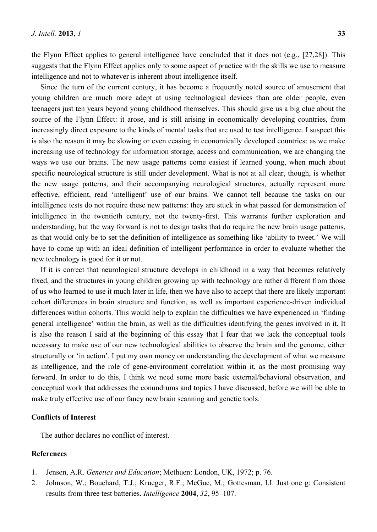the Flynn Effect applies to general intelligence have concluded that it does not (e.g., [27,28]). This suggests that the Flynn Effect applies only to some aspect of practice with the skills we use to measure intelligence and not to whatever is inherent about intelligence itself.

Since the turn of the current century, it has become a frequently noted source of amusement that young children are much more adept at using technological devices than are older people, even teenagers just ten years beyond young childhood themselves. This should give us a big clue about the source of the Flynn Effect: it arose, and is still arising in economically developing countries, from increasingly direct exposure to the kinds of mental tasks that are used to test intelligence. I suspect this is also the reason it may be slowing or even ceasing in economically developed countries: as we make increasing use of technology for information storage, access and communication, we are changing the ways we use our brains. The new usage patterns come easiest if learned young, when much about specific neurological structure is still under development. What is not at all clear, though, is whether the new usage patterns, and their accompanying neurological structures, actually represent more effective, efficient, read 'intelligent' use of our brains. We cannot tell because the tasks on our intelligence tests do not require these new patterns: they are stuck in what passed for demonstration of intelligence in the twentieth century, not the twenty-first. This warrants further exploration and understanding, but the way forward is not to design tasks that do require the new brain usage patterns, as that would only be to set the definition of intelligence as something like 'ability to tweet.' We will have to come up with an ideal definition of intelligent performance in order to evaluate whether the new technology is good for it or not.

If it is correct that neurological structure develops in childhood in a way that becomes relatively fixed, and the structures in young children growing up with technology are rather different from those of us who learned to use it much later in life, then we have also to accept that there are likely important cohort differences in brain structure and function, as well as important experience-driven individual differences within cohorts. This would help to explain the difficulties we have experienced in 'finding general intelligence' within the brain, as well as the difficulties identifying the genes involved in it. It is also the reason I said at the beginning of this essay that I fear that we lack the conceptual tools necessary to make use of our new technological abilities to observe the brain and the genome, either structurally or 'in action'. I put my own money on understanding the development of what we measure as intelligence, and the role of gene-environment correlation within it, as the most promising way forward. In order to do this, I think we need some more basic external/behavioral observation, and conceptual work that addresses the conundrums and topics I have discussed, before we will be able to make truly effective use of our fancy new brain scanning and genetic tools.

### **Conflicts of Interest**

The author declares no conflict of interest.

# **References**

- 1. Jensen, A.R. *Genetics and Education*; Methuen: London, UK, 1972; p. 76.
- 2. Johnson, W.; Bouchard, T.J.; Krueger, R.F.; McGue, M.; Gottesman, I.I. Just one g: Consistent results from three test batteries. *Intelligence* **2004**, *32*, 95–107.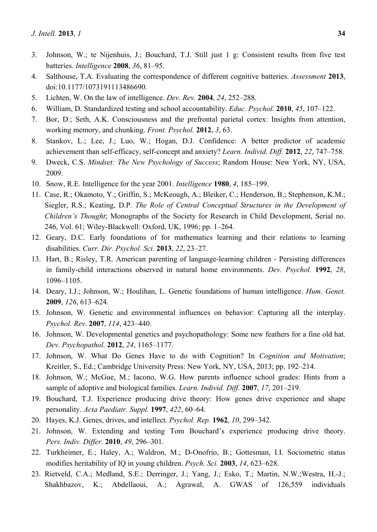- 3. Johnson, W.; te Nijenhuis, J.; Bouchard, T.J. Still just 1 g: Consistent results from five test batteries. *Intelligence* **2008**, *36*, 81–95.
- 4. Salthouse, T.A. Evaluating the correspondence of different cognitive batteries. *Assessment* **2013**, doi:10.1177/1073191113486690.
- 5. Lichten, W. On the law of intelligence. *Dev. Rev.* **2004**, *24*, 252–288.
- 6. William, D. Standardized testing and school accountability. *Educ. Psychol.* **2010**, *45*, 107–122.
- 7. Bor, D.; Seth, A.K. Consciousness and the prefrontal parietal cortex: Insights from attention, working memory, and chunking. *Front. Psychol.* **2012**, *3*, 63.
- 8. Stankov, L.; Lee, J.; Luo, W.; Hogan, D.J. Confidence: A better predictor of academic achievement than self-efficacy, self-concept and anxiety? *Learn. Individ. Diff.* **2012**, *22*, 747–758.
- 9. Dweck, C.S. *Mindset: The New Psychology of Success*; Random House: New York, NY, USA, 2009.
- 10. Snow, R.E. Intelligence for the year 2001. *Intelligence* **1980**, *4*, 185–199.
- 11. Case, R.; Okamoto, Y.; Griffin, S.; McKeough, A.; Bleiker, C.; Henderson, B.; Stephenson, K.M.; Siegler, R.S.; Keating, D.P. *The Role of Central Conceptual Structures in the Development of Children's Thought*; Monographs of the Society for Research in Child Development, Serial no. 246, Vol. 61; Wiley-Blackwell: Oxford, UK, 1996; pp. 1–264.
- 12. Geary, D.C. Early foundations of for mathematics learning and their relations to learning disabilities. *Curr. Dir. Psychol. Sci.* **2013**, *22*, 23–27.
- 13. Hart, B.; Risley, T.R. American parenting of language-learning children Persisting differences in family-child interactions observed in natural home environments. *Dev. Psychol.* **1992**, *28*, 1096–1105.
- 14. Deary, I.J.; Johnson, W.; Houlihan, L. Genetic foundations of human intelligence. *Hum. Genet.* **2009**, *126*, 613–624.
- 15. Johnson, W. Genetic and environmental influences on behavior: Capturing all the interplay. *Psychol. Rev.* **2007**, *114*, 423–440.
- 16. Johnson, W. Developmental genetics and psychopathology: Some new feathers for a fine old hat. *Dev. Psychopathol.* **2012**, *24*, 1165–1177.
- 17. Johnson, W. What Do Genes Have to do with Cognition? In *Cognition and Motivation*; Kreitler, S., Ed.; Cambridge University Press: New York, NY, USA, 2013; pp. 192–214.
- 18. Johnson, W.; McGue, M.; Iacono, W.G. How parents influence school grades: Hints from a sample of adoptive and biological families. *Learn. Individ. Diff.* **2007**, *17*, 201–219.
- 19. Bouchard, T.J. Experience producing drive theory: How genes drive experience and shape personality. *Acta Paediatr. Suppl.* **1997**, *422*, 60–64.
- 20. Hayes, K.J. Genes, drives, and intellect. *Psychol. Rep.* **1962**, *10*, 299–342.
- 21. Johnson, W. Extending and testing Tom Bouchard's experience producing drive theory. *Pers. Indiv. Differ*. **2010**, *49*, 296–301.
- 22. Turkheimer, E.; Haley, A.; Waldron, M.; D-Onofrio, B.; Gottesman, I.I. Sociometric status modifies heritability of IQ in young children. *Psych. Sci.* **2003**, *14*, 623–628.
- 23. Rietveld, C.A.; Medland, S.E.; Derringer, J.; Yang, J.; Esko, T.; Martin, N.W.;Westra, H.-J.; Shakhbazov, K.; Abdellaoui, A.; Agrawal, A. GWAS of 126,559 individuals